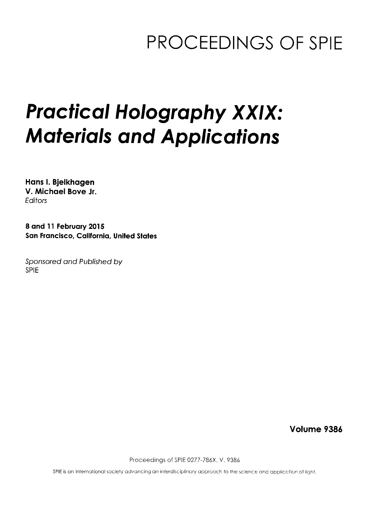## PROCEEDINGS OF SPIE

## Practical Holography XXIX: Materials and Applications

Hans I. Bjelkhagen V. Michael Bove Jr. **Editors** 

8 and <sup>11</sup> February 2015 San Francisco, California, United States

Sponsored and Published by SPIE

Volume 9386

Proceedings of SPIE 0277-786X. V. 9386

SPIE is an international society advancing an interdisciplinary approach to the science and application of light.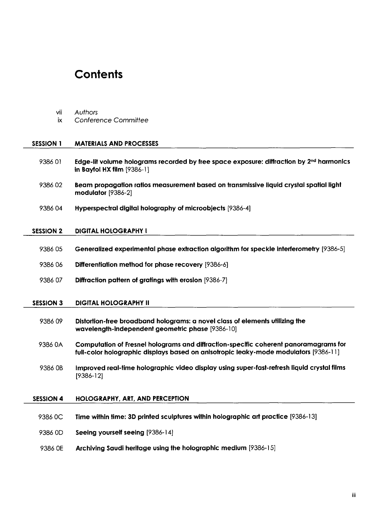## **Contents**

vii Authors

| iх               | Conference Committee                                                                                                                                                         |
|------------------|------------------------------------------------------------------------------------------------------------------------------------------------------------------------------|
|                  |                                                                                                                                                                              |
| <b>SESSION 1</b> | <b>MATERIALS AND PROCESSES</b>                                                                                                                                               |
| 938601           | Edge-lit volume holograms recorded by free space exposure: diffraction by 2 <sup>nd</sup> harmonics<br>in Bayfol HX film $[9386-1]$                                          |
| 938602           | Beam propagation ratios measurement based on transmissive liquid crystal spatial light<br>modulator [9386-2]                                                                 |
| 938604           | Hyperspectral digital holography of microobjects [9386-4]                                                                                                                    |
| <b>SESSION 2</b> | <b>DIGITAL HOLOGRAPHY I</b>                                                                                                                                                  |
| 9386 05          | Generalized experimental phase extraction algorithm for speckle interferometry [9386-5]                                                                                      |
| 938606           | Differentiation method for phase recovery [9386-6]                                                                                                                           |
| 938607           | Diffraction pattern of gratings with erosion [9386-7]                                                                                                                        |
|                  |                                                                                                                                                                              |
| <b>SESSION 3</b> | <b>DIGITAL HOLOGRAPHY II</b>                                                                                                                                                 |
| 938609           | Distortion-free broadband holograms: a novel class of elements utilizing the<br>wavelength-independent geometric phase [9386-10]                                             |
| 9386 OA          | Computation of Fresnel holograms and diffraction-specific coherent panoramagrams for<br>full-color holographic displays based on anisotropic leaky-mode modulators [9386-11] |
| 9386 OB          | Improved real-time holographic video display using super-fast-refresh liquid crystal films<br>$[9386-12]$                                                                    |
| <b>SESSION 4</b> | HOLOGRAPHY, ART, AND PERCEPTION                                                                                                                                              |
| 9386 OC          | Time within time: 3D printed sculptures within holographic art practice [9386-13]                                                                                            |
| 9386 OD          | Seeing yourself seeing [9386-14]                                                                                                                                             |
| 9386 OE          | Archiving Saudi heritage using the holographic medium [9386-15]                                                                                                              |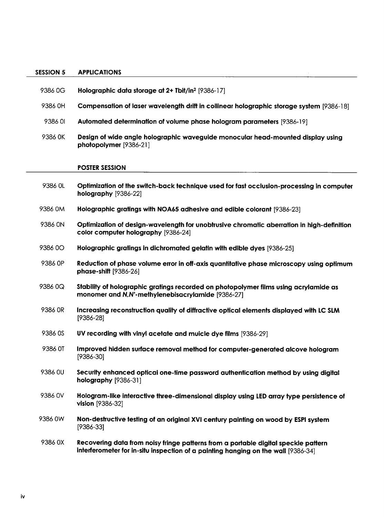## SESSION 5 APPLICATIONS

| 9386 0G | Holographic data storage at 2+ Tbit/in <sup>2</sup> [9386-17]                                                                                                           |
|---------|-------------------------------------------------------------------------------------------------------------------------------------------------------------------------|
| 9386 OH | Compensation of laser wavelength drift in collinear holographic storage system [9386-18]                                                                                |
| 9386 OI | Automated determination of volume phase hologram parameters [9386-19]                                                                                                   |
| 9386 OK | Design of wide angle holographic waveguide monocular head-mounted display using<br>photopolymer [9386-21]                                                               |
|         | <b>POSTER SESSION</b>                                                                                                                                                   |
| 9386 OL | Optimization of the switch-back technique used for fast occlusion-processing in computer<br>holography [9386-22]                                                        |
| 9386 OM | Holographic gratings with NOA65 adhesive and edible colorant [9386-23]                                                                                                  |
| 9386 ON | Optimization of design-wavelength for unobtrusive chromatic aberration in high-definition<br>color computer holography [9386-24]                                        |
| 938600  | Holographic gratings in dichromated gelatin with edible dyes [9386-25]                                                                                                  |
| 9386 OP | Reduction of phase volume error in off-axis quantitative phase microscopy using optimum<br>phase-shift [9386-26]                                                        |
| 9386 OQ | Stability of holographic gratings recorded on photopolymer films using acrylamide as<br>monomer and N,N'-methylenebisacrylamide [9386-27]                               |
| 9386 OR | Increasing reconstruction quality of diffractive optical elements displayed with LC SLM<br>$[9386 - 28]$                                                                |
| 9386 OS | UV recording with vinyl acetate and muicle dye films [9386-29]                                                                                                          |
| 9386 OT | Improved hidden surface removal method for computer-generated alcove hologram<br>$[9386 - 30]$                                                                          |
| 9386 OU | Security enhanced optical one-time password authentication method by using digital<br>holography [9386-31]                                                              |
| 9386 OV | Hologram-like interactive three-dimensional display using LED array type persistence of<br>vision [9386-32]                                                             |
| 9386 0W | Non-destructive testing of an original XVI century painting on wood by ESPI system<br>$[9386 - 33]$                                                                     |
| 9386 0X | Recovering data from noisy fringe patterns from a portable digital speckle pattern<br>interferometer for in-situ inspection of a painting hanging on the wall [9386-34] |